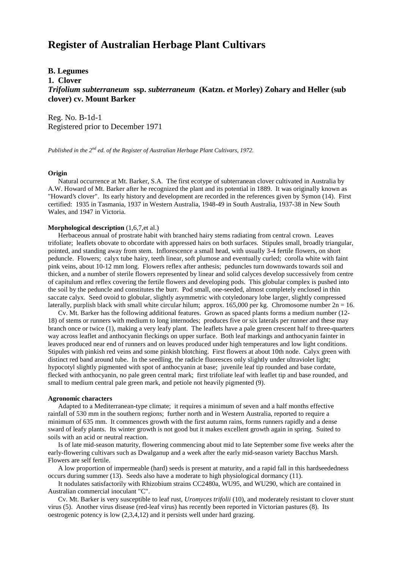# **Register of Australian Herbage Plant Cultivars**

## **B. Legumes**

**1. Clover**

*Trifolium subterraneum* **ssp.** *subterraneum* **(Katzn.** *et* **Morley) Zohary and Heller (sub clover) cv. Mount Barker**

Reg. No. B-1d-1 Registered prior to December 1971

*Published in the 2nd ed. of the Register of Australian Herbage Plant Cultivars, 1972.*

### **Origin**

 Natural occurrence at Mt. Barker, S.A. The first ecotype of subterranean clover cultivated in Australia by A.W. Howard of Mt. Barker after he recognized the plant and its potential in 1889. It was originally known as "Howard's clover". Its early history and development are recorded in the references given by Symon (14). First certified: 1935 in Tasmania, 1937 in Western Australia, 1948-49 in South Australia, 1937-38 in New South Wales, and 1947 in Victoria.

## **Morphological description** (1,6,7,et al.)

 Herbaceous annual of prostrate habit with branched hairy stems radiating from central crown. Leaves trifoliate; leaflets obovate to obcordate with appressed hairs on both surfaces. Stipules small, broadly triangular, pointed, and standing away from stem. Inflorescence a small head, with usually 3-4 fertile flowers, on short peduncle. Flowers; calyx tube hairy, teeth linear, soft plumose and eventually curled; corolla white with faint pink veins, about 10-12 mm long. Flowers reflex after anthesis; peduncles turn downwards towards soil and thicken, and a number of sterile flowers represented by linear and solid calyces develop successively from centre of capitulum and reflex covering the fertile flowers and developing pods. This globular complex is pushed into the soil by the peduncle and constitutes the burr. Pod small, one-seeded, almost completely enclosed in thin saccate calyx. Seed ovoid to globular, slightly asymmetric with cotyledonary lobe larger, slightly compressed laterally, purplish black with small white circular hilum; approx. 165,000 per kg. Chromosome number  $2n = 16$ .

 Cv. Mt. Barker has the following additional features. Grown as spaced plants forms a medium number (12- 18) of stems or runners with medium to long internodes; produces five or six laterals per runner and these may branch once or twice (1), making a very leafy plant. The leaflets have a pale green crescent half to three-quarters way across leaflet and anthocyanin fleckings on upper surface. Both leaf markings and anthocyanin fainter in leaves produced near end of runners and on leaves produced under high temperatures and low light conditions. Stipules with pinkish red veins and some pinkish blotching. First flowers at about 10th node. Calyx green with distinct red band around tube. In the seedling, the radicle fluoresces only slightly under ultraviolet light; hypocotyl slightly pigmented with spot of anthocyanin at base; juvenile leaf tip rounded and base cordate, flecked with anthocyanin, no pale green central mark; first trifoliate leaf with leaflet tip and base rounded, and small to medium central pale green mark, and petiole not heavily pigmented (9).

#### **Agronomic characters**

 Adapted to a Mediterranean-type climate; it requires a minimum of seven and a half months effective rainfall of 530 mm in the southern regions; further north and in Western Australia, reported to require a minimum of 635 mm. It commences growth with the first autumn rains, forms runners rapidly and a dense sward of leafy plants. Its winter growth is not good but it makes excellent growth again in spring. Suited to soils with an acid or neutral reaction.

 Is of late mid-season maturity, flowering commencing about mid to late September some five weeks after the early-flowering cultivars such as Dwalganup and a week after the early mid-season variety Bacchus Marsh. Flowers are self fertile.

 A low proportion of impermeable (hard) seeds is present at maturity, and a rapid fall in this hardseededness occurs during summer (13). Seeds also have a moderate to high physiological dormancy (11).

 It nodulates satisfactorily with Rhizobium strains CC2480a, WU95, and WU290, which are contained in Australian commercial inoculant "C".

 Cv. Mt. Barker is very susceptible to leaf rust, *Uromyces trifolii* (10), and moderately resistant to clover stunt virus (5). Another virus disease (red-leaf virus) has recently been reported in Victorian pastures (8). Its oestrogenic potency is low (2,3,4,12) and it persists well under hard grazing.